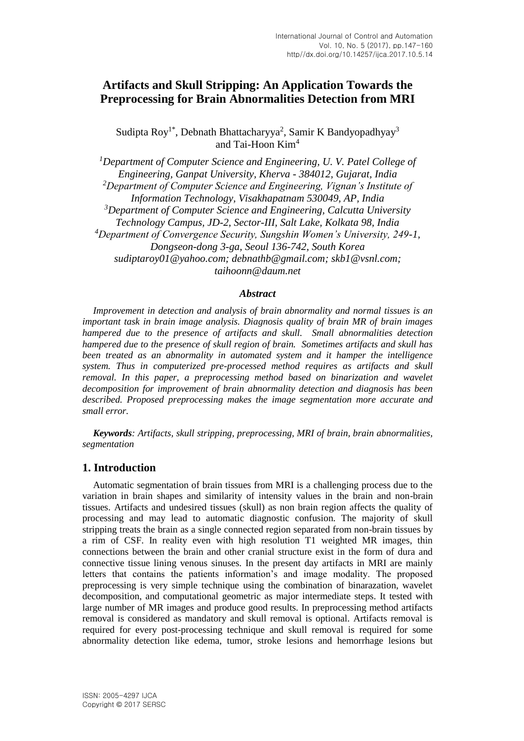# **Artifacts and Skull Stripping: An Application Towards the Preprocessing for Brain Abnormalities Detection from MRI**

Sudipta Roy<sup>1\*</sup>, Debnath Bhattacharyya<sup>2</sup>, Samir K Bandyopadhyay<sup>3</sup> and Tai-Hoon Kim<sup>4</sup>

*<sup>1</sup>Department of Computer Science and Engineering, U. V. Patel College of Engineering, Ganpat University, Kherva - 384012, Gujarat, India <sup>2</sup>Department of Computer Science and Engineering, Vignan's Institute of Information Technology, Visakhapatnam 530049, AP, India <sup>3</sup>Department of Computer Science and Engineering, Calcutta University Technology Campus, JD-2, Sector-III, Salt Lake, Kolkata 98, India <sup>4</sup>Department of Convergence Security, Sungshin Women's University, 249-1, Dongseon-dong 3-ga, Seoul 136-742, South Korea sudiptaroy01@yahoo.com; debnathb@gmail.com; skb1@vsnl.com; taihoonn@daum.net*

#### *Abstract*

*Improvement in detection and analysis of brain abnormality and normal tissues is an important task in brain image analysis. Diagnosis quality of brain MR of brain images hampered due to the presence of artifacts and skull. Small abnormalities detection hampered due to the presence of skull region of brain. Sometimes artifacts and skull has been treated as an abnormality in automated system and it hamper the intelligence system. Thus in computerized pre-processed method requires as artifacts and skull removal. In this paper, a preprocessing method based on binarization and wavelet decomposition for improvement of brain abnormality detection and diagnosis has been described. Proposed preprocessing makes the image segmentation more accurate and small error.*

*Keywords: Artifacts, skull stripping, preprocessing, MRI of brain, brain abnormalities, segmentation*

# **1. Introduction**

Automatic segmentation of brain tissues from MRI is a challenging process due to the variation in brain shapes and similarity of intensity values in the brain and non-brain tissues. Artifacts and undesired tissues (skull) as non brain region affects the quality of processing and may lead to automatic diagnostic confusion. The majority of skull stripping treats the brain as a single connected region separated from non-brain tissues by a rim of CSF. In reality even with high resolution T1 weighted MR images, thin connections between the brain and other cranial structure exist in the form of dura and connective tissue lining venous sinuses. In the present day artifacts in MRI are mainly letters that contains the patients information's and image modality. The proposed preprocessing is very simple technique using the combination of binarazation, wavelet decomposition, and computational geometric as major intermediate steps. It tested with large number of MR images and produce good results. In preprocessing method artifacts removal is considered as mandatory and skull removal is optional. Artifacts removal is required for every post-processing technique and skull removal is required for some abnormality detection like edema, tumor, stroke lesions and hemorrhage lesions but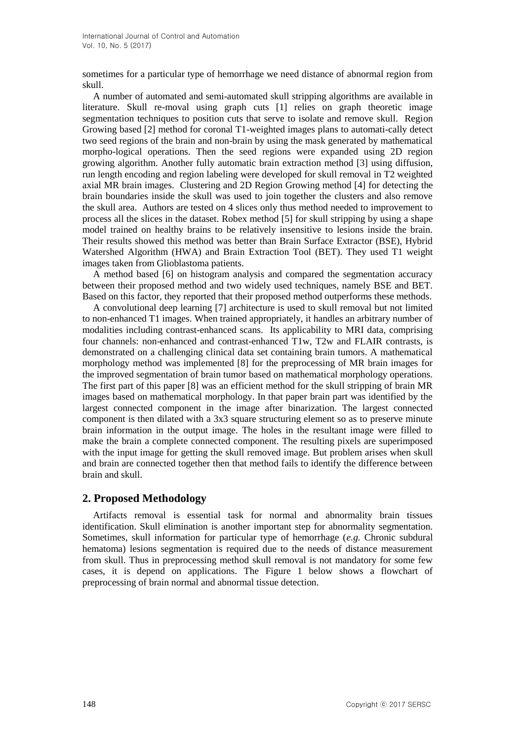sometimes for a particular type of hemorrhage we need distance of abnormal region from skull.

A number of automated and semi-automated skull stripping algorithms are available in literature. Skull re-moval using graph cuts [1] relies on graph theoretic image segmentation techniques to position cuts that serve to isolate and remove skull. Region Growing based [2] method for coronal T1-weighted images plans to automati-cally detect two seed regions of the brain and non-brain by using the mask generated by mathematical morpho-logical operations. Then the seed regions were expanded using 2D region growing algorithm. Another fully automatic brain extraction method [3] using diffusion, run length encoding and region labeling were developed for skull removal in T2 weighted axial MR brain images. Clustering and 2D Region Growing method [4] for detecting the brain boundaries inside the skull was used to join together the clusters and also remove the skull area. Authors are tested on 4 slices only thus method needed to improvement to process all the slices in the dataset. Robex method [5] for skull stripping by using a shape model trained on healthy brains to be relatively insensitive to lesions inside the brain. Their results showed this method was better than Brain Surface Extractor (BSE), Hybrid Watershed Algorithm (HWA) and Brain Extraction Tool (BET). They used T1 weight images taken from Glioblastoma patients.

A method based [6] on histogram analysis and compared the segmentation accuracy between their proposed method and two widely used techniques, namely BSE and BET. Based on this factor, they reported that their proposed method outperforms these methods.

A convolutional deep learning [7] architecture is used to skull removal but not limited to non-enhanced T1 images. When trained appropriately, it handles an arbitrary number of modalities including contrast-enhanced scans. Its applicability to MRI data, comprising four channels: non-enhanced and contrast-enhanced T1w, T2w and FLAIR contrasts, is demonstrated on a challenging clinical data set containing brain tumors. A mathematical morphology method was implemented [8] for the preprocessing of MR brain images for the improved segmentation of brain tumor based on mathematical morphology operations. The first part of this paper [8] was an efficient method for the skull stripping of brain MR images based on mathematical morphology. In that paper brain part was identified by the largest connected component in the image after binarization. The largest connected component is then dilated with a 3x3 square structuring element so as to preserve minute brain information in the output image. The holes in the resultant image were filled to make the brain a complete connected component. The resulting pixels are superimposed with the input image for getting the skull removed image. But problem arises when skull and brain are connected together then that method fails to identify the difference between brain and skull.

# **2. Proposed Methodology**

Artifacts removal is essential task for normal and abnormality brain tissues identification. Skull elimination is another important step for abnormality segmentation. Sometimes, skull information for particular type of hemorrhage (*e.g.* Chronic subdural hematoma) lesions segmentation is required due to the needs of distance measurement from skull. Thus in preprocessing method skull removal is not mandatory for some few cases, it is depend on applications. The Figure 1 below shows a flowchart of preprocessing of brain normal and abnormal tissue detection.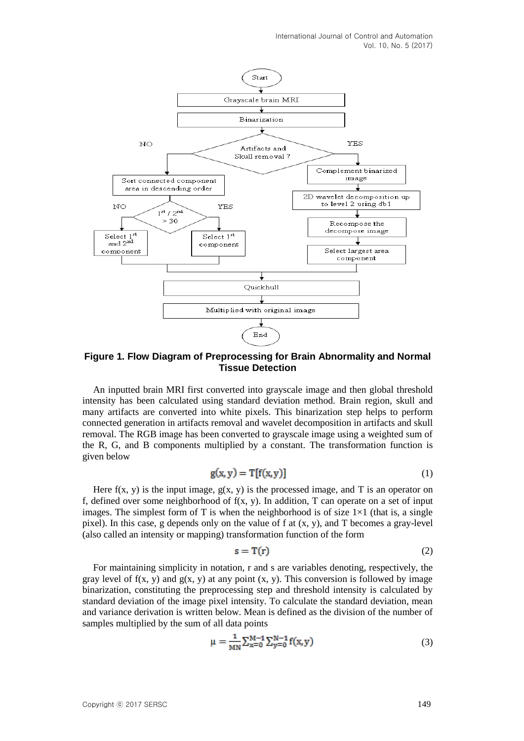International Journal of Control and Automation Vol. 10, No. 5 (2017)



**Figure 1. Flow Diagram of Preprocessing for Brain Abnormality and Normal Tissue Detection**

An inputted brain MRI first converted into grayscale image and then global threshold intensity has been calculated using standard deviation method. Brain region, skull and many artifacts are converted into white pixels. This binarization step helps to perform connected generation in artifacts removal and wavelet decomposition in artifacts and skull removal. The RGB image has been converted to grayscale image using a weighted sum of the R, G, and B components multiplied by a constant. The transformation function is given below

$$
g(x, y) = T[f(x, y)]
$$
 (1)

Here  $f(x, y)$  is the input image,  $g(x, y)$  is the processed image, and T is an operator on f, defined over some neighborhood of  $f(x, y)$ . In addition, T can operate on a set of input images. The simplest form of T is when the neighborhood is of size  $1\times1$  (that is, a single pixel). In this case, g depends only on the value of f at (x, y), and T becomes a gray-level (also called an intensity or mapping) transformation function of the form

$$
s = T(r) \tag{2}
$$

For maintaining simplicity in notation, r and s are variables denoting, respectively, the gray level of  $f(x, y)$  and  $g(x, y)$  at any point  $(x, y)$ . This conversion is followed by image binarization, constituting the preprocessing step and threshold intensity is calculated by standard deviation of the image pixel intensity. To calculate the standard deviation, mean and variance derivation is written below. Mean is defined as the division of the number of samples multiplied by the sum of all data points

$$
\mu = \frac{1}{MN} \sum_{x=0}^{M-1} \sum_{y=0}^{N-1} f(x, y)
$$
\n(3)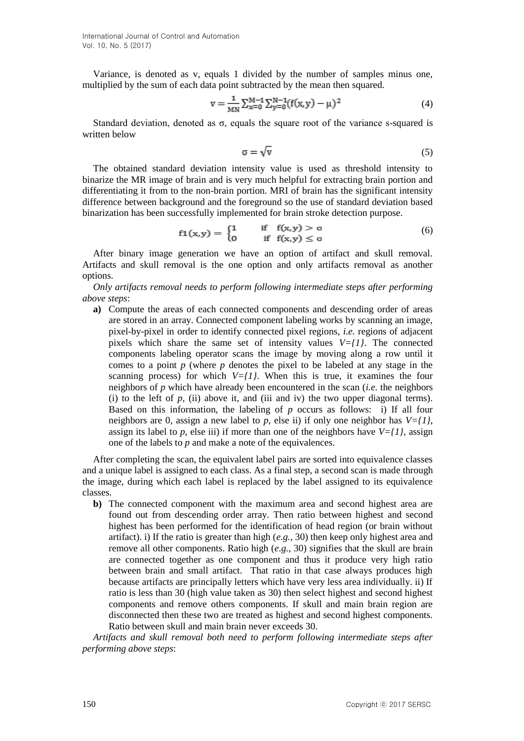International Journal of Control and Automation Vol. 10, No. 5 (2017)

Variance, is denoted as v, equals 1 divided by the number of samples minus one, multiplied by the sum of each data point subtracted by the mean then squared.

$$
v = \frac{1}{MN} \sum_{x=0}^{M-1} \sum_{y=0}^{N-1} (f(x, y) - \mu)^2
$$
 (4)

Standard deviation, denoted as  $\sigma$ , equals the square root of the variance s-squared is written below

$$
\sigma = \sqrt{\mathbf{v}}\tag{5}
$$

The obtained standard deviation intensity value is used as threshold intensity to binarize the MR image of brain and is very much helpful for extracting brain portion and differentiating it from to the non-brain portion. MRI of brain has the significant intensity difference between background and the foreground so the use of standard deviation based binarization has been successfully implemented for brain stroke detection purpose.

$$
f1(x,y) = \begin{cases} 1 & \text{if } f(x,y) > \sigma \\ 0 & \text{if } f(x,y) \le \sigma \end{cases}
$$
 (6)

After binary image generation we have an option of artifact and skull removal. Artifacts and skull removal is the one option and only artifacts removal as another options.

*Only artifacts removal needs to perform following intermediate steps after performing above steps*:

**a)** Compute the areas of each connected components and descending order of areas are stored in an array. Connected component labeling works by scanning an image, pixel-by-pixel in order to identify connected pixel regions, *i.e.* regions of adjacent pixels which share the same set of intensity values  $V=f/l$ . The connected components labeling operator scans the image by moving along a row until it comes to a point *p* (where *p* denotes the pixel to be labeled at any stage in the scanning process) for which  $V=f/l$ . When this is true, it examines the four neighbors of *p* which have already been encountered in the scan (*i.e.* the neighbors (i) to the left of  $p$ , (ii) above it, and (iii and iv) the two upper diagonal terms). Based on this information, the labeling of *p* occurs as follows: i) If all four neighbors are 0, assign a new label to *p*, else ii) if only one neighbor has *V={1}*, assign its label to *p*, else iii) if more than one of the neighbors have  $V=fI$ , assign one of the labels to *p* and make a note of the equivalences.

After completing the scan, the equivalent label pairs are sorted into equivalence classes and a unique label is assigned to each class. As a final step, a second scan is made through the image, during which each label is replaced by the label assigned to its equivalence classes.

**b)** The connected component with the maximum area and second highest area are found out from descending order array. Then ratio between highest and second highest has been performed for the identification of head region (or brain without artifact). i) If the ratio is greater than high (*e.g.*, 30) then keep only highest area and remove all other components. Ratio high (*e.g.*, 30) signifies that the skull are brain are connected together as one component and thus it produce very high ratio between brain and small artifact. That ratio in that case always produces high because artifacts are principally letters which have very less area individually. ii) If ratio is less than 30 (high value taken as 30) then select highest and second highest components and remove others components. If skull and main brain region are disconnected then these two are treated as highest and second highest components. Ratio between skull and main brain never exceeds 30.

*Artifacts and skull removal both need to perform following intermediate steps after performing above steps*: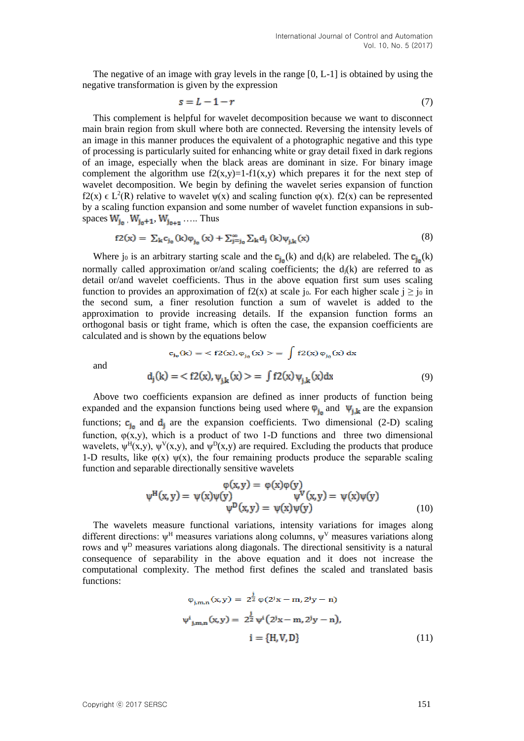The negative of an image with gray levels in the range [0, L-1] is obtained by using the negative transformation is given by the expression

$$
s = L - 1 - r \tag{7}
$$

This complement is helpful for wavelet decomposition because we want to disconnect main brain region from skull where both are connected. Reversing the intensity levels of an image in this manner produces the equivalent of a photographic negative and this type of processing is particularly suited for enhancing white or gray detail fixed in dark regions of an image, especially when the black areas are dominant in size. For binary image complement the algorithm use  $f2(x,y)=1-f1(x,y)$  which prepares it for the next step of wavelet decomposition. We begin by defining the wavelet series expansion of function f2(x)  $\in L^2(R)$  relative to wavelet  $\psi(x)$  and scaling function  $\varphi(x)$ . f2(x) can be represented by a scaling function expansion and some number of wavelet function expansions in subspaces  $W_{i_0}$ ,  $W_{i_0+1}$ ,  $W_{i_0+2}$ , ..... Thus

$$
f2(x) = \sum_{k} c_{j_0}(k)\varphi_{i_0}(x) + \sum_{j=j_0}^{\infty} \sum_{k} d_j(k)\psi_{i,k}(x)
$$
(8)

Where j<sub>0</sub> is an arbitrary starting scale and the  $c_{i_n}(k)$  and  $d_j(k)$  are relabeled. The  $c_{i_n}(k)$ normally called approximation or/and scaling coefficients; the  $d_i(k)$  are referred to as detail or/and wavelet coefficients. Thus in the above equation first sum uses scaling function to provides an approximation of f2(x) at scale j<sub>0</sub>. For each higher scale  $j \ge j_0$  in the second sum, a finer resolution function a sum of wavelet is added to the approximation to provide increasing details. If the expansion function forms an orthogonal basis or tight frame, which is often the case, the expansion coefficients are calculated and is shown by the equations below

$$
c_{i_0}(k) = \langle f2(x), \varphi_{i_0}(x) \rangle = \int f2(x) \varphi_{i_0}(x) dx
$$
  

$$
d_j(k) = \langle f2(x), \psi_{i,k}(x) \rangle = \int f2(x) \psi_{i,k}(x) dx
$$
 (9)

and

Above two coefficients expansion are defined as inner products of function being  
expanded and the expansion functions being used where 
$$
\varphi_{j_0}
$$
 and  $\psi_{j,k}$  are the expansion  
functions;  $\mathbf{c}_{j_0}$  and  $\mathbf{d}_j$  are the expansion coefficients. Two dimensional (2-D) scaling  
function,  $\varphi(x,y)$ , which is a product of two 1-D functions and three two dimensional  
wavelets,  $\psi^H(x,y)$ ,  $\psi^V(x,y)$ , and  $\psi^D(x,y)$  are required. Excluding the products that produce  
1-D results, like  $\varphi(x) \psi(x)$ , the four remaining products produce the separable scaling  
function and separable directionally sensitive wavelets

$$
\varphi(x,y) = \varphi(x)\varphi(y) \n\psi^H(x,y) = \psi(x)\psi(y) \n\psi^D(x,y) = \psi(x)\psi(y) \n(10)
$$

The wavelets measure functional variations, intensity variations for images along different directions:  $\psi^H$  measures variations along columns,  $\psi^V$  measures variations along rows and  $\psi^D$  measures variations along diagonals. The directional sensitivity is a natural consequence of separability in the above equation and it does not increase the computational complexity. The method first defines the scaled and translated basis functions:

$$
\varphi_{j,m,n}(x,y) = 2^{\frac{j}{2}} \varphi(2^j x - m, 2^j y - n)
$$
  

$$
\psi^i_{j,m,n}(x,y) = 2^{\frac{j}{2}} \psi^i (2^j x - m, 2^j y - n),
$$
  

$$
i = \{H, V, D\}
$$
 (11)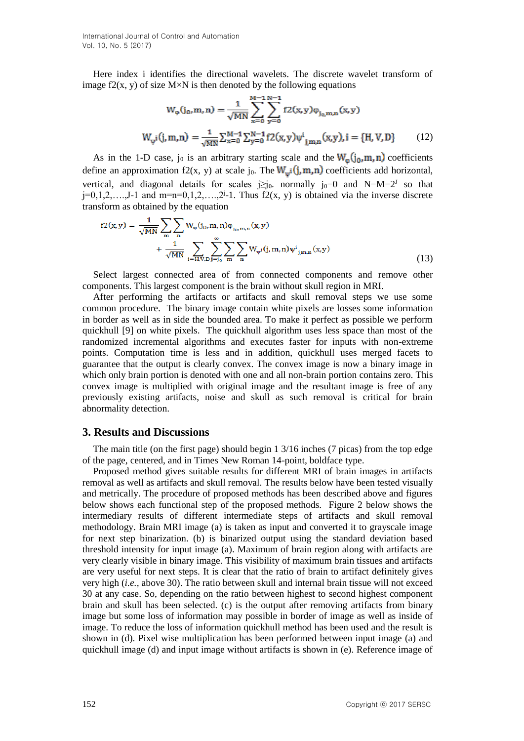International Journal of Control and Automation Vol. 10, No. 5 (2017)

Here index i identifies the directional wavelets. The discrete wavelet transform of image f2(x, y) of size  $M \times N$  is then denoted by the following equations

$$
W_{\varphi}(j_0, m, n) = \frac{1}{\sqrt{MN}} \sum_{x=0}^{M-1} \sum_{y=0}^{N-1} f2(x, y)\varphi_{j_0, m, n}(x, y)
$$
  

$$
W_{\psi}i(j, m, n) = \frac{1}{\sqrt{MN}} \sum_{x=0}^{M-1} \sum_{y=0}^{N-1} f2(x, y)\psi^{i}_{j, m, n}(x, y), i = \{H, V, D\}
$$
(12)

As in the 1-D case, j<sub>0</sub> is an arbitrary starting scale and the  $W_{\omega}(j_0, m, n)$  coefficients define an approximation f2(x, y) at scale j<sub>0</sub>. The  $W_w$  (j, m, n) coefficients add horizontal, vertical, and diagonal details for scales  $j\geq j_0$ . normally  $j_0=0$  and  $N=M=2^J$  so that  $j=0,1,2,...,J-1$  and  $m=n=0,1,2,...,2^{j}$ -1. Thus f2(x, y) is obtained via the inverse discrete transform as obtained by the equation

$$
f2(x,y) = \frac{1}{\sqrt{MN}} \sum_{m} \sum_{n} W_{\varphi}(j_0, m, n) \varphi_{j_0, m, n}(x, y) + \frac{1}{\sqrt{MN}} \sum_{i=H, V, D} \sum_{j=j_0}^{\infty} \sum_{m} \sum_{n} W_{\psi} (j, m, n) \psi_{j, m, n}^{i}(x, y)
$$
(13)

Select largest connected area of from connected components and remove other components. This largest component is the brain without skull region in MRI.

After performing the artifacts or artifacts and skull removal steps we use some common procedure. The binary image contain white pixels are losses some information in border as well as in side the bounded area. To make it perfect as possible we perform quickhull [9] on white pixels. The quickhull algorithm uses less space than most of the randomized incremental algorithms and executes faster for inputs with non-extreme points. Computation time is less and in addition, quickhull uses merged facets to guarantee that the output is clearly convex. The convex image is now a binary image in which only brain portion is denoted with one and all non-brain portion contains zero. This convex image is multiplied with original image and the resultant image is free of any previously existing artifacts, noise and skull as such removal is critical for brain abnormality detection.

#### **3. Results and Discussions**

The main title (on the first page) should begin 1 3/16 inches (7 picas) from the top edge of the page, centered, and in Times New Roman 14-point, boldface type.

Proposed method gives suitable results for different MRI of brain images in artifacts removal as well as artifacts and skull removal. The results below have been tested visually and metrically. The procedure of proposed methods has been described above and figures below shows each functional step of the proposed methods. Figure 2 below shows the intermediary results of different intermediate steps of artifacts and skull removal methodology. Brain MRI image (a) is taken as input and converted it to grayscale image for next step binarization. (b) is binarized output using the standard deviation based threshold intensity for input image (a). Maximum of brain region along with artifacts are very clearly visible in binary image. This visibility of maximum brain tissues and artifacts are very useful for next steps. It is clear that the ratio of brain to artifact definitely gives very high (*i.e.,* above 30). The ratio between skull and internal brain tissue will not exceed 30 at any case. So, depending on the ratio between highest to second highest component brain and skull has been selected. (c) is the output after removing artifacts from binary image but some loss of information may possible in border of image as well as inside of image. To reduce the loss of information quickhull method has been used and the result is shown in (d). Pixel wise multiplication has been performed between input image (a) and quickhull image (d) and input image without artifacts is shown in (e). Reference image of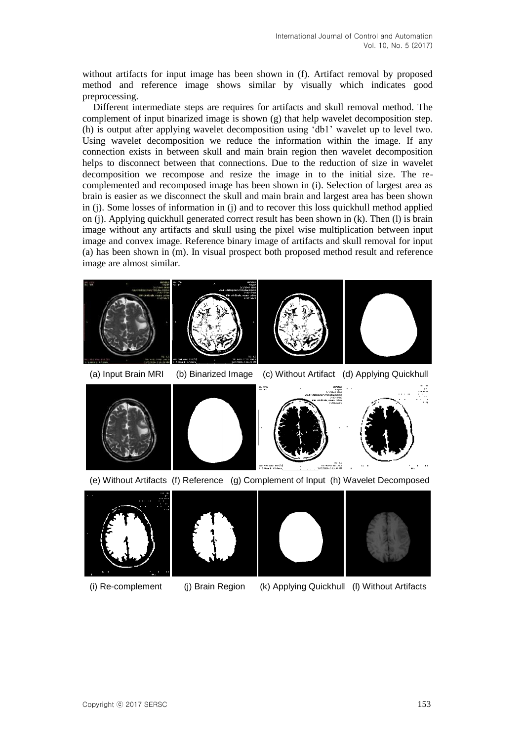without artifacts for input image has been shown in (f). Artifact removal by proposed method and reference image shows similar by visually which indicates good preprocessing.

Different intermediate steps are requires for artifacts and skull removal method. The complement of input binarized image is shown  $(g)$  that help wavelet decomposition step. (h) is output after applying wavelet decomposition using 'db1' wavelet up to level two. Using wavelet decomposition we reduce the information within the image. If any connection exists in between skull and main brain region then wavelet decomposition helps to disconnect between that connections. Due to the reduction of size in wavelet decomposition we recompose and resize the image in to the initial size. The recomplemented and recomposed image has been shown in (i). Selection of largest area as brain is easier as we disconnect the skull and main brain and largest area has been shown in (j). Some losses of information in (j) and to recover this loss quickhull method applied on (j). Applying quickhull generated correct result has been shown in (k). Then (l) is brain image without any artifacts and skull using the pixel wise multiplication between input image and convex image. Reference binary image of artifacts and skull removal for input (a) has been shown in (m). In visual prospect both proposed method result and reference image are almost similar.







(a) Input Brain MRI (b) Binarized Image (c) Without Artifact (d) Applying Quickhull









(e) Without Artifacts (f) Reference (g) Complement of Input (h) Wavelet Decomposed









(i) Re-complement (j) Brain Region (k) Applying Quickhull (l) Without Artifacts

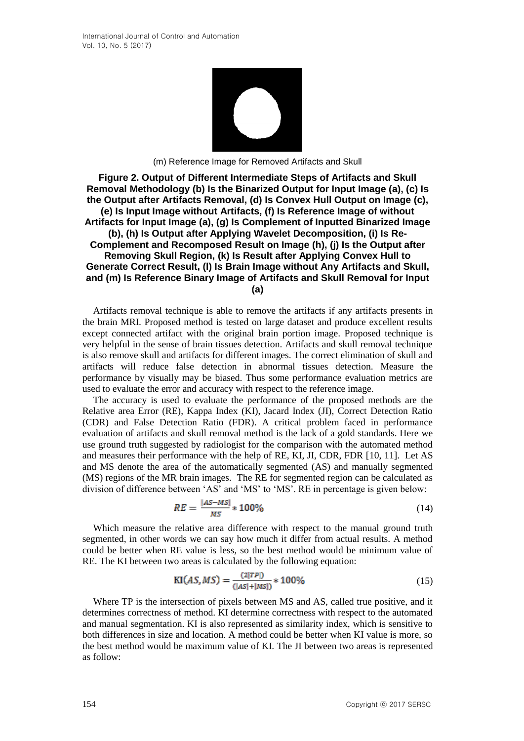

(m) Reference Image for Removed Artifacts and Skull

#### **Figure 2. Output of Different Intermediate Steps of Artifacts and Skull Removal Methodology (b) Is the Binarized Output for Input Image (a), (c) Is the Output after Artifacts Removal, (d) Is Convex Hull Output on Image (c), (e) Is Input Image without Artifacts, (f) Is Reference Image of without Artifacts for Input Image (a), (g) Is Complement of Inputted Binarized Image (b), (h) Is Output after Applying Wavelet Decomposition, (i) Is Re-Complement and Recomposed Result on Image (h), (j) Is the Output after Removing Skull Region, (k) Is Result after Applying Convex Hull to Generate Correct Result, (l) Is Brain Image without Any Artifacts and Skull, and (m) Is Reference Binary Image of Artifacts and Skull Removal for Input (a)**

Artifacts removal technique is able to remove the artifacts if any artifacts presents in the brain MRI. Proposed method is tested on large dataset and produce excellent results except connected artifact with the original brain portion image. Proposed technique is very helpful in the sense of brain tissues detection. Artifacts and skull removal technique is also remove skull and artifacts for different images. The correct elimination of skull and artifacts will reduce false detection in abnormal tissues detection. Measure the performance by visually may be biased. Thus some performance evaluation metrics are used to evaluate the error and accuracy with respect to the reference image.

The accuracy is used to evaluate the performance of the proposed methods are the Relative area Error (RE), Kappa Index (KI), Jacard Index (JI), Correct Detection Ratio (CDR) and False Detection Ratio (FDR). A critical problem faced in performance evaluation of artifacts and skull removal method is the lack of a gold standards. Here we use ground truth suggested by radiologist for the comparison with the automated method and measures their performance with the help of RE, KI, JI, CDR, FDR [10, 11]. Let AS and MS denote the area of the automatically segmented (AS) and manually segmented (MS) regions of the MR brain images. The RE for segmented region can be calculated as division of difference between 'AS' and 'MS' to 'MS'. RE in percentage is given below:

$$
RE = \frac{|AS - MS|}{MS} \times 100\%
$$
\n
$$
\tag{14}
$$

Which measure the relative area difference with respect to the manual ground truth segmented, in other words we can say how much it differ from actual results. A method could be better when RE value is less, so the best method would be minimum value of RE. The KI between two areas is calculated by the following equation:

$$
KI(AS, MS) = \frac{(2|TP|)}{(|AS| + |MS|)} * 100\%
$$
\n(15)

Where TP is the intersection of pixels between MS and AS, called true positive, and it determines correctness of method. KI determine correctness with respect to the automated and manual segmentation. KI is also represented as similarity index, which is sensitive to both differences in size and location. A method could be better when KI value is more, so the best method would be maximum value of KI. The JI between two areas is represented as follow: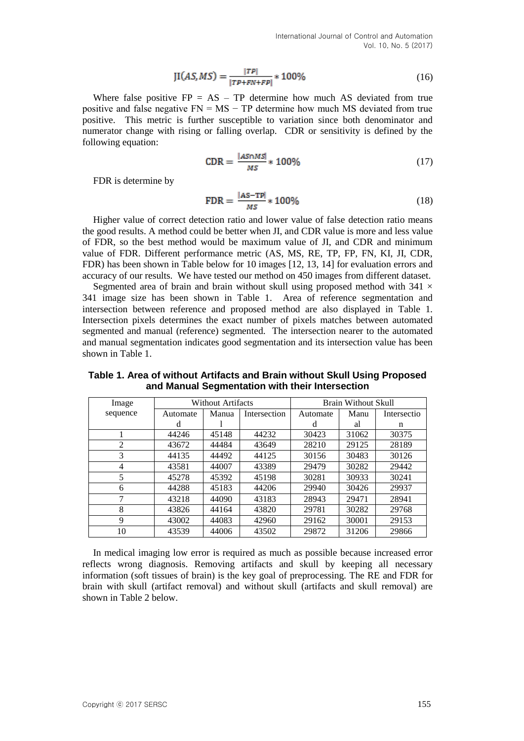$$
JI(AS, MS) = \frac{|TP|}{|TP + FN + FP|} * 100\%
$$
\n(16)

Where false positive  $FP = AS - TP$  determine how much AS deviated from true positive and false negative  $FN = MS - TP$  determine how much MS deviated from true positive. This metric is further susceptible to variation since both denominator and numerator change with rising or falling overlap. CDR or sensitivity is defined by the following equation:

$$
CDR = \frac{|A5 \cap MS|}{MS} * 100\% \tag{17}
$$

FDR is determine by

$$
\text{FDR} = \frac{|\text{AS-TP}|}{MS} * 100\% \tag{18}
$$

Higher value of correct detection ratio and lower value of false detection ratio means the good results. A method could be better when JI, and CDR value is more and less value of FDR, so the best method would be maximum value of JI, and CDR and minimum value of FDR. Different performance metric (AS, MS, RE, TP, FP, FN, KI, JI, CDR, FDR) has been shown in Table below for 10 images [12, 13, 14] for evaluation errors and accuracy of our results. We have tested our method on 450 images from different dataset.

Segmented area of brain and brain without skull using proposed method with  $341 \times$ 341 image size has been shown in Table 1. Area of reference segmentation and intersection between reference and proposed method are also displayed in Table 1. Intersection pixels determines the exact number of pixels matches between automated segmented and manual (reference) segmented. The intersection nearer to the automated and manual segmentation indicates good segmentation and its intersection value has been shown in Table 1.

| Image    | Without Artifacts |       |              | Brain Without Skull |       |             |
|----------|-------------------|-------|--------------|---------------------|-------|-------------|
| sequence | Automate          | Manua | Intersection | Automate            | Manu  | Intersectio |
|          | d                 |       |              | d                   | al    | n           |
|          | 44246             | 45148 | 44232        | 30423               | 31062 | 30375       |
| 2        | 43672             | 44484 | 43649        | 28210               | 29125 | 28189       |
| 3        | 44135             | 44492 | 44125        | 30156               | 30483 | 30126       |
| 4        | 43581             | 44007 | 43389        | 29479               | 30282 | 29442       |
| 5        | 45278             | 45392 | 45198        | 30281               | 30933 | 30241       |
| 6        | 44288             | 45183 | 44206        | 29940               | 30426 | 29937       |
| ⇁        | 43218             | 44090 | 43183        | 28943               | 29471 | 28941       |
| 8        | 43826             | 44164 | 43820        | 29781               | 30282 | 29768       |
| 9        | 43002             | 44083 | 42960        | 29162               | 30001 | 29153       |
| 10       | 43539             | 44006 | 43502        | 29872               | 31206 | 29866       |

**Table 1. Area of without Artifacts and Brain without Skull Using Proposed and Manual Segmentation with their Intersection**

In medical imaging low error is required as much as possible because increased error reflects wrong diagnosis. Removing artifacts and skull by keeping all necessary information (soft tissues of brain) is the key goal of preprocessing. The RE and FDR for brain with skull (artifact removal) and without skull (artifacts and skull removal) are shown in Table 2 below.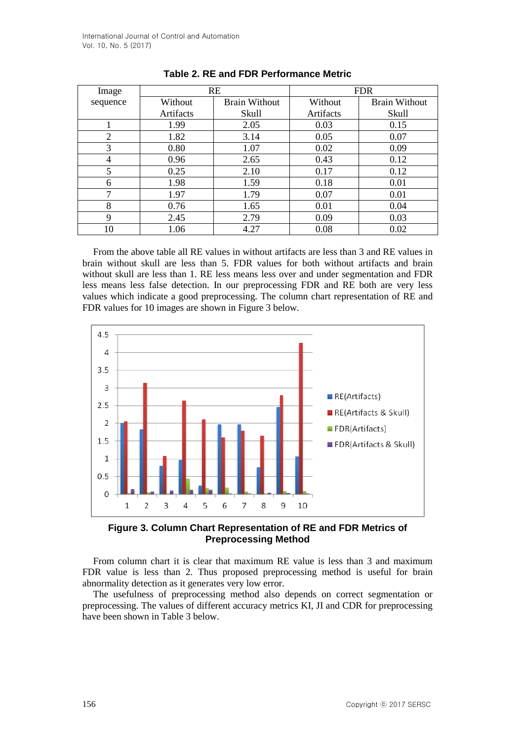| Image          |           | <b>RE</b>            | <b>FDR</b> |                      |  |
|----------------|-----------|----------------------|------------|----------------------|--|
| sequence       | Without   | <b>Brain Without</b> | Without    | <b>Brain Without</b> |  |
|                | Artifacts | Skull                | Artifacts  | Skull                |  |
|                | 1.99      | 2.05                 | 0.03       | 0.15                 |  |
| $\overline{2}$ | 1.82      | 3.14                 | 0.05       | 0.07                 |  |
| 3              | 0.80      | 1.07                 | 0.02       | 0.09                 |  |
| 4              | 0.96      | 2.65                 | 0.43       | 0.12                 |  |
| 5              | 0.25      | 2.10                 | 0.17       | 0.12                 |  |
| 6              | 1.98      | 1.59                 | 0.18       | 0.01                 |  |
| 7              | 1.97      | 1.79                 | 0.07       | 0.01                 |  |
| 8              | 0.76      | 1.65                 | 0.01       | 0.04                 |  |
| 9              | 2.45      | 2.79                 | 0.09       | 0.03                 |  |
| 10             | 1.06      | 4.27                 | 0.08       | 0.02                 |  |

| <b>Table 2. RE and FDR Performance Metric</b> |  |  |  |
|-----------------------------------------------|--|--|--|
|-----------------------------------------------|--|--|--|

From the above table all RE values in without artifacts are less than 3 and RE values in brain without skull are less than 5. FDR values for both without artifacts and brain without skull are less than 1. RE less means less over and under segmentation and FDR less means less false detection. In our preprocessing FDR and RE both are very less values which indicate a good preprocessing. The column chart representation of RE and FDR values for 10 images are shown in Figure 3 below.



**Figure 3. Column Chart Representation of RE and FDR Metrics of Preprocessing Method**

From column chart it is clear that maximum RE value is less than 3 and maximum FDR value is less than 2. Thus proposed preprocessing method is useful for brain abnormality detection as it generates very low error.

The usefulness of preprocessing method also depends on correct segmentation or preprocessing. The values of different accuracy metrics KI, JI and CDR for preprocessing have been shown in Table 3 below.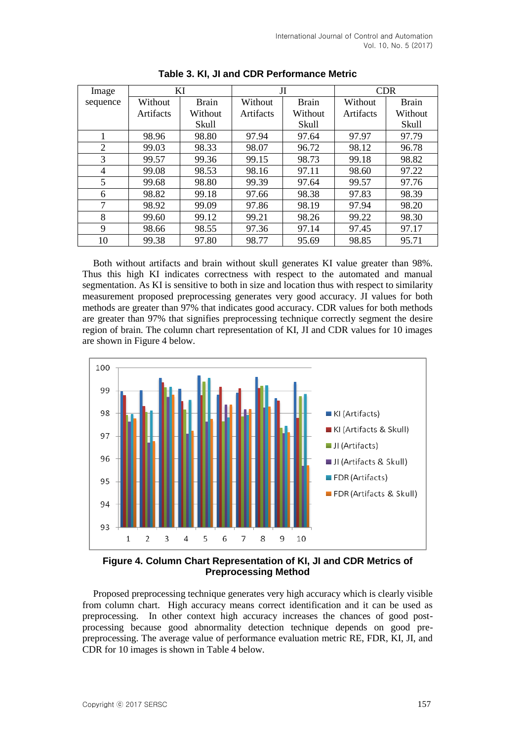| Image       | KI        |              | Л         |              | <b>CDR</b> |              |
|-------------|-----------|--------------|-----------|--------------|------------|--------------|
| sequence    | Without   | <b>Brain</b> | Without   | <b>Brain</b> | Without    | <b>Brain</b> |
|             | Artifacts | Without      | Artifacts | Without      | Artifacts  | Without      |
|             |           | Skull        |           | <b>Skull</b> |            | Skull        |
|             | 98.96     | 98.80        | 97.94     | 97.64        | 97.97      | 97.79        |
| 2           | 99.03     | 98.33        | 98.07     | 96.72        | 98.12      | 96.78        |
| 3           | 99.57     | 99.36        | 99.15     | 98.73        | 99.18      | 98.82        |
| 4           | 99.08     | 98.53        | 98.16     | 97.11        | 98.60      | 97.22        |
| 5           | 99.68     | 98.80        | 99.39     | 97.64        | 99.57      | 97.76        |
| 6           | 98.82     | 99.18        | 97.66     | 98.38        | 97.83      | 98.39        |
| 7           | 98.92     | 99.09        | 97.86     | 98.19        | 97.94      | 98.20        |
| 8           | 99.60     | 99.12        | 99.21     | 98.26        | 99.22      | 98.30        |
| $\mathbf Q$ | 98.66     | 98.55        | 97.36     | 97.14        | 97.45      | 97.17        |
| 10          | 99.38     | 97.80        | 98.77     | 95.69        | 98.85      | 95.71        |

**Table 3. KI, JI and CDR Performance Metric**

Both without artifacts and brain without skull generates KI value greater than 98%. Thus this high KI indicates correctness with respect to the automated and manual segmentation. As KI is sensitive to both in size and location thus with respect to similarity measurement proposed preprocessing generates very good accuracy. JI values for both methods are greater than 97% that indicates good accuracy. CDR values for both methods are greater than 97% that signifies preprocessing technique correctly segment the desire region of brain. The column chart representation of KI, JI and CDR values for 10 images are shown in Figure 4 below.



## **Figure 4. Column Chart Representation of KI, JI and CDR Metrics of Preprocessing Method**

Proposed preprocessing technique generates very high accuracy which is clearly visible from column chart. High accuracy means correct identification and it can be used as preprocessing. In other context high accuracy increases the chances of good postprocessing because good abnormality detection technique depends on good prepreprocessing. The average value of performance evaluation metric RE, FDR, KI, JI, and CDR for 10 images is shown in Table 4 below.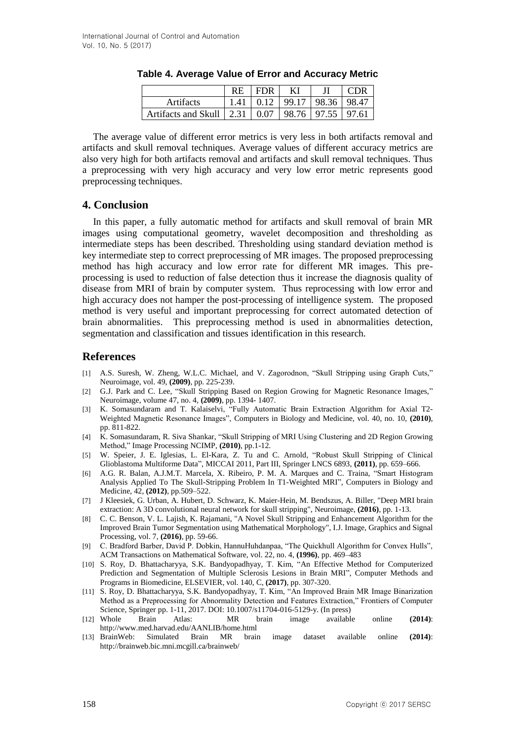|                          | <b>RE</b> | <b>FDR</b> | ΚI    |                         | CDR |
|--------------------------|-----------|------------|-------|-------------------------|-----|
| Artifacts                | 1.41      | 0.12       | 99.17 | 98.36 98.47             |     |
| Artifacts and Skull 2.31 |           | 0.07       |       | $98.76$   97.55   97.61 |     |

**Table 4. Average Value of Error and Accuracy Metric**

The average value of different error metrics is very less in both artifacts removal and artifacts and skull removal techniques. Average values of different accuracy metrics are also very high for both artifacts removal and artifacts and skull removal techniques. Thus a preprocessing with very high accuracy and very low error metric represents good preprocessing techniques.

## **4. Conclusion**

In this paper, a fully automatic method for artifacts and skull removal of brain MR images using computational geometry, wavelet decomposition and thresholding as intermediate steps has been described. Thresholding using standard deviation method is key intermediate step to correct preprocessing of MR images. The proposed preprocessing method has high accuracy and low error rate for different MR images. This preprocessing is used to reduction of false detection thus it increase the diagnosis quality of disease from MRI of brain by computer system. Thus reprocessing with low error and high accuracy does not hamper the post-processing of intelligence system. The proposed method is very useful and important preprocessing for correct automated detection of brain abnormalities. This preprocessing method is used in abnormalities detection, segmentation and classification and tissues identification in this research.

## **References**

- [1] A.S. Suresh, W. Zheng, W.L.C. Michael, and V. Zagorodnon, "Skull Stripping using Graph Cuts," Neuroimage, vol. 49, **(2009)**, pp. 225-239.
- [2] G.J. Park and C. Lee, "Skull Stripping Based on Region Growing for Magnetic Resonance Images," Neuroimage, volume 47, no. 4, **(2009)**, pp. 1394- 1407.
- [3] K. Somasundaram and T. Kalaiselvi, "Fully Automatic Brain Extraction Algorithm for Axial T2- Weighted Magnetic Resonance Images", Computers in Biology and Medicine, vol. 40, no. 10, **(2010)**, pp. 811-822.
- [4] K. Somasundaram, R. Siva Shankar, "Skull Stripping of MRI Using Clustering and 2D Region Growing Method," Image Processing NCIMP, **(2010)**, pp.1-12.
- [5] W. Speier, J. E. Iglesias, L. El-Kara, Z. Tu and C. Arnold, "Robust Skull Stripping of Clinical Glioblastoma Multiforme Data", MICCAI 2011, Part III, Springer LNCS 6893, **(2011)**, pp. 659–666.
- [6] A.G. R. Balan, A.J.M.T. Marcela, X. Ribeiro, P. M. A. Marques and C. Traina, "Smart Histogram Analysis Applied To The Skull-Stripping Problem In T1-Weighted MRI", Computers in Biology and Medicine, 42, **(2012)**, pp.509–522.
- [7] J Kleesiek, G. Urban, A. Hubert, D. Schwarz, K. Maier-Hein, M. Bendszus, A. Biller, "Deep MRI brain extraction: A 3D convolutional neural network for skull stripping", Neuroimage, **(2016)**, pp. 1-13.
- [8] C. C. Benson, V. L. Lajish, K. Rajamani, "A Novel Skull Stripping and Enhancement Algorithm for the Improved Brain Tumor Segmentation using Mathematical Morphology", I.J. Image, Graphics and Signal Processing, vol. 7, **(2016)**, pp. 59-66.
- [9] C. Bradford Barber, David P. Dobkin, HannuHuhdanpaa, "The Quickhull Algorithm for Convex Hulls", ACM Transactions on Mathematical Software, vol. 22, no. 4, **(1996)**, pp. 469–483
- [10] S. Roy, D. Bhattacharyya, S.K. Bandyopadhyay, T. Kim, "An Effective Method for Computerized Prediction and Segmentation of Multiple Sclerosis Lesions in Brain MRI", Computer Methods and Programs in Biomedicine, ELSEVIER, vol. 140, C, **(2017)**, pp. 307-320.
- [11] S. Roy, D. Bhattacharyya, S.K. Bandyopadhyay, T. Kim, "An Improved Brain MR Image Binarization Method as a Preprocessing for Abnormality Detection and Features Extraction," Frontiers of Computer Science, Springer pp. 1-11, 2017. DOI: 10.1007/s11704-016-5129-y. (In press)
- [12] Whole Brain Atlas: MR brain image available online **(2014)**: <http://www.med.harvad.edu/AANLIB/home.html>
- [13] BrainWeb: Simulated Brain MR brain image dataset available online **(2014)**: <http://brainweb.bic.mni.mcgill.ca/brainweb/>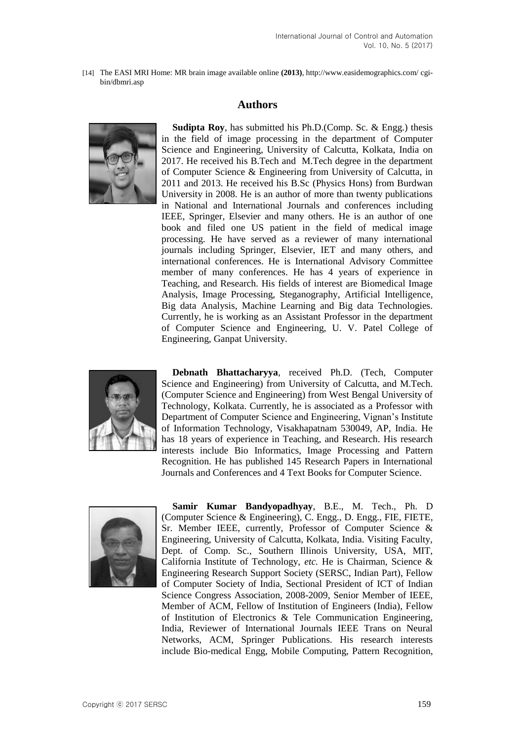[14] The EASI MRI Home: MR brain image available online **(2013)**, http://www.easidemographics.com/ cgibin/dbmri.asp

## **Authors**



**Sudipta Roy**, has submitted his Ph.D.(Comp. Sc. & Engg.) thesis in the field of image processing in the department of Computer Science and Engineering, University of Calcutta, Kolkata, India on 2017. He received his B.Tech and M.Tech degree in the department of Computer Science & Engineering from University of Calcutta, in 2011 and 2013. He received his B.Sc (Physics Hons) from Burdwan University in 2008. He is an author of more than twenty publications in National and International Journals and conferences including IEEE, Springer, Elsevier and many others. He is an author of one book and filed one US patient in the field of medical image processing. He have served as a reviewer of many international journals including Springer, Elsevier, IET and many others, and international conferences. He is International Advisory Committee member of many conferences. He has 4 years of experience in Teaching, and Research. His fields of interest are Biomedical Image Analysis, Image Processing, Steganography, Artificial Intelligence, Big data Analysis, Machine Learning and Big data Technologies. Currently, he is working as an Assistant Professor in the department of Computer Science and Engineering, U. V. Patel College of Engineering, Ganpat University.



**Debnath Bhattacharyya**, received Ph.D. (Tech, Computer Science and Engineering) from University of Calcutta, and M.Tech. (Computer Science and Engineering) from West Bengal University of Technology, Kolkata. Currently, he is associated as a Professor with Department of Computer Science and Engineering, Vignan's Institute of Information Technology, Visakhapatnam 530049, AP, India. He has 18 years of experience in Teaching, and Research. His research interests include Bio Informatics, Image Processing and Pattern Recognition. He has published 145 Research Papers in International Journals and Conferences and 4 Text Books for Computer Science.



**Samir Kumar Bandyopadhyay**, B.E., M. Tech., Ph. D (Computer Science & Engineering), C. Engg., D. Engg., FIE, FIETE, Sr. Member IEEE, currently, Professor of Computer Science & Engineering, University of Calcutta, Kolkata, India. Visiting Faculty, Dept. of Comp. Sc., Southern Illinois University, USA, MIT, California Institute of Technology, *etc.* He is Chairman, Science & Engineering Research Support Society (SERSC, Indian Part), Fellow of Computer Society of India, Sectional President of ICT of Indian Science Congress Association, 2008-2009, Senior Member of IEEE, Member of ACM, Fellow of Institution of Engineers (India), Fellow of Institution of Electronics & Tele Communication Engineering, India, Reviewer of International Journals IEEE Trans on Neural Networks, ACM, Springer Publications. His research interests include Bio-medical Engg, Mobile Computing, Pattern Recognition,